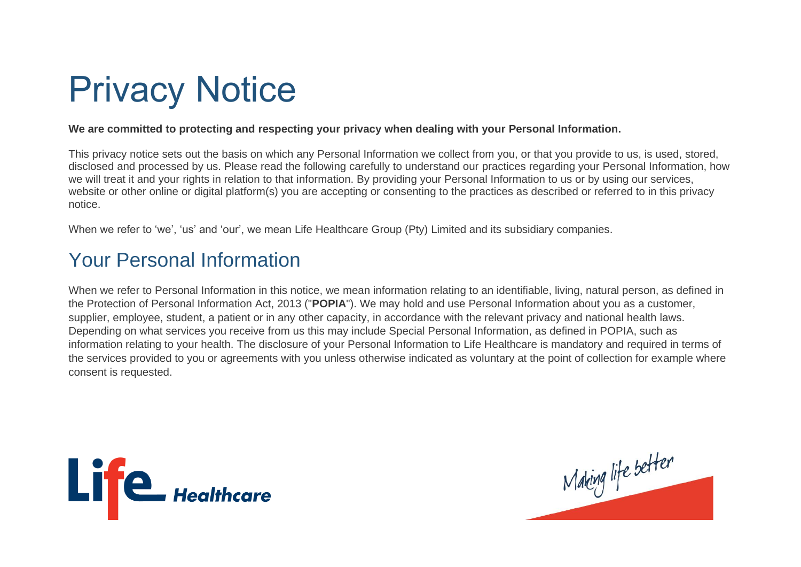# Privacy Notice

#### **We are committed to protecting and respecting your privacy when dealing with your Personal Information.**

This privacy notice sets out the basis on which any Personal Information we collect from you, or that you provide to us, is used, stored, disclosed and processed by us. Please read the following carefully to understand our practices regarding your Personal Information, how we will treat it and your rights in relation to that information. By providing your Personal Information to us or by using our services, website or other online or digital platform(s) you are accepting or consenting to the practices as described or referred to in this privacy notice.

When we refer to 'we', 'us' and 'our', we mean Life Healthcare Group (Pty) Limited and its subsidiary companies.

# Your Personal Information

When we refer to Personal Information in this notice, we mean information relating to an identifiable, living, natural person, as defined in the Protection of Personal Information Act, 2013 ("**POPIA**"). We may hold and use Personal Information about you as a customer, supplier, employee, student, a patient or in any other capacity, in accordance with the relevant privacy and national health laws. Depending on what services you receive from us this may include Special Personal Information, as defined in POPIA, such as information relating to your health. The disclosure of your Personal Information to Life Healthcare is mandatory and required in terms of the services provided to you or agreements with you unless otherwise indicated as voluntary at the point of collection for example where consent is requested.



Making life better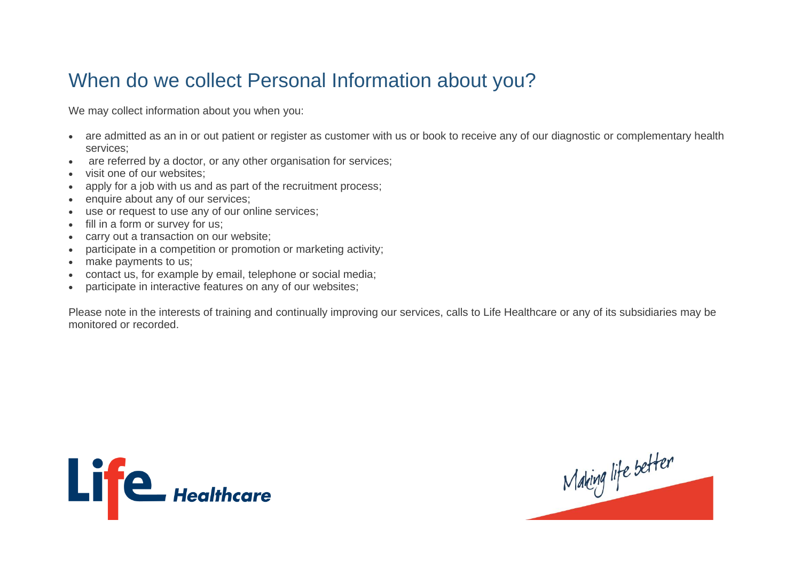#### When do we collect Personal Information about you?

We may collect information about you when you:

- are admitted as an in or out patient or register as customer with us or book to receive any of our diagnostic or complementary health services;
- are referred by a doctor, or any other organisation for services;
- visit one of our websites;
- apply for a job with us and as part of the recruitment process;
- enquire about any of our services;
- use or request to use any of our online services;
- fill in a form or survey for us;
- carry out a transaction on our website;
- participate in a competition or promotion or marketing activity;
- make payments to us;
- contact us, for example by email, telephone or social media;
- participate in interactive features on any of our websites;

Please note in the interests of training and continually improving our services, calls to Life Healthcare or any of its subsidiaries may be monitored or recorded.



Making life better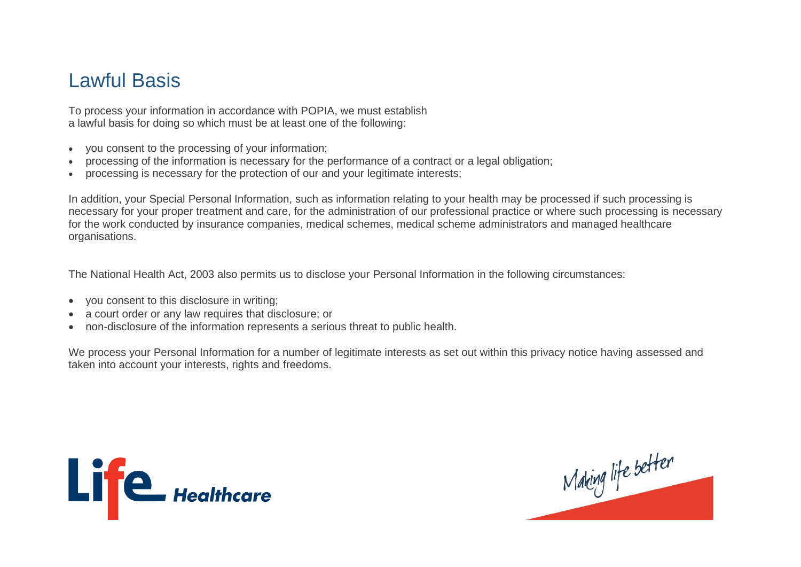#### Lawful Basis

To process your information in accordance with POPIA, we must establish a lawful basis for doing so which must be at least one of the following:

- you consent to the processing of your information;
- processing of the information is necessary for the performance of a contract or a legal obligation;
- processing is necessary for the protection of our and your legitimate interests;

In addition, your Special Personal Information, such as information relating to your health may be processed if such processing is necessary for your proper treatment and care, for the administration of our professional practice or where such processing is necessary for the work conducted by insurance companies, medical schemes, medical scheme administrators and managed healthcare organisations.

The National Health Act, 2003 also permits us to disclose your Personal Information in the following circumstances:

- you consent to this disclosure in writing;
- a court order or any law requires that disclosure; or
- non-disclosure of the information represents a serious threat to public health.

We process your Personal Information for a number of legitimate interests as set out within this privacy notice having assessed and taken into account your interests, rights and freedoms.



Making life better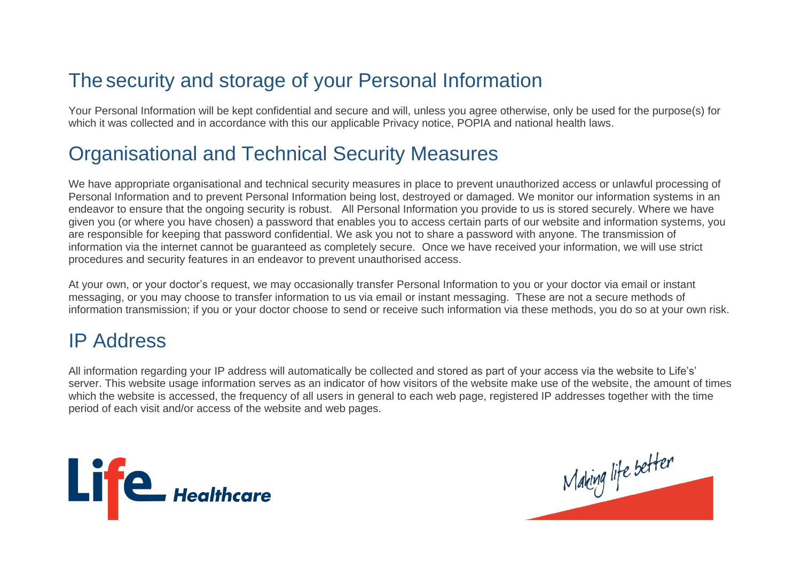## The security and storage of your Personal Information

Your Personal Information will be kept confidential and secure and will, unless you agree otherwise, only be used for the purpose(s) for which it was collected and in accordance with this our applicable Privacy notice, POPIA and national health laws.

#### Organisational and Technical Security Measures

We have appropriate organisational and technical security measures in place to prevent unauthorized access or unlawful processing of Personal Information and to prevent Personal Information being lost, destroyed or damaged. We monitor our information systems in an endeavor to ensure that the ongoing security is robust. All Personal Information you provide to us is stored securely. Where we have given you (or where you have chosen) a password that enables you to access certain parts of our website and information systems, you are responsible for keeping that password confidential. We ask you not to share a password with anyone. The transmission of information via the internet cannot be guaranteed as completely secure. Once we have received your information, we will use strict procedures and security features in an endeavor to prevent unauthorised access.

At your own, or your doctor's request, we may occasionally transfer Personal Information to you or your doctor via email or instant messaging, or you may choose to transfer information to us via email or instant messaging. These are not a secure methods of information transmission; if you or your doctor choose to send or receive such information via these methods, you do so at your own risk.

#### IP Address

All information regarding your IP address will automatically be collected and stored as part of your access via the website to Life's' server. This website usage information serves as an indicator of how visitors of the website make use of the website, the amount of times which the website is accessed, the frequency of all users in general to each web page, registered IP addresses together with the time period of each visit and/or access of the website and web pages.



Mahing life better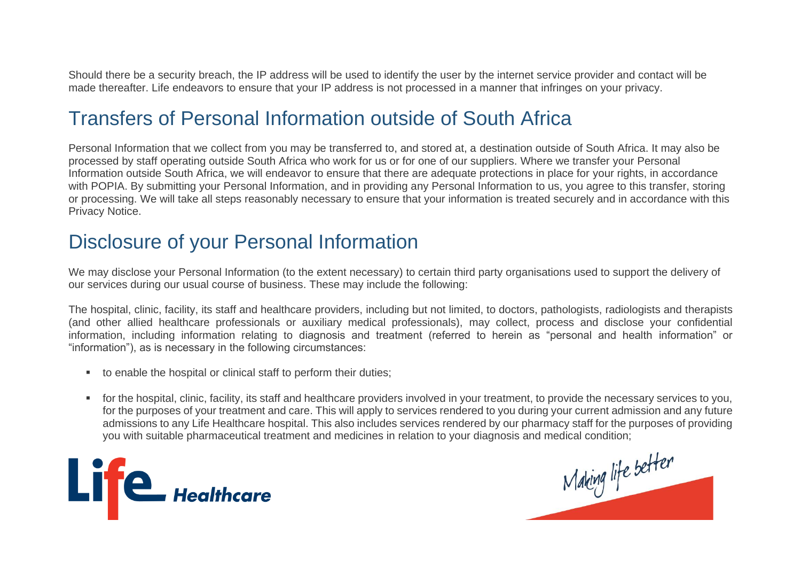Should there be a security breach, the IP address will be used to identify the user by the internet service provider and contact will be made thereafter. Life endeavors to ensure that your IP address is not processed in a manner that infringes on your privacy.

#### Transfers of Personal Information outside of South Africa

Personal Information that we collect from you may be transferred to, and stored at, a destination outside of South Africa. It may also be processed by staff operating outside South Africa who work for us or for one of our suppliers. Where we transfer your Personal Information outside South Africa, we will endeavor to ensure that there are adequate protections in place for your rights, in accordance with POPIA. By submitting your Personal Information, and in providing any Personal Information to us, you agree to this transfer, storing or processing. We will take all steps reasonably necessary to ensure that your information is treated securely and in accordance with this Privacy Notice.

#### Disclosure of your Personal Information

We may disclose your Personal Information (to the extent necessary) to certain third party organisations used to support the delivery of our services during our usual course of business. These may include the following:

The hospital, clinic, facility, its staff and healthcare providers, including but not limited, to doctors, pathologists, radiologists and therapists (and other allied healthcare professionals or auxiliary medical professionals), may collect, process and disclose your confidential information, including information relating to diagnosis and treatment (referred to herein as "personal and health information" or "information"), as is necessary in the following circumstances:

- to enable the hospital or clinical staff to perform their duties;
- for the hospital, clinic, facility, its staff and healthcare providers involved in your treatment, to provide the necessary services to you, for the purposes of your treatment and care. This will apply to services rendered to you during your current admission and any future admissions to any Life Healthcare hospital. This also includes services rendered by our pharmacy staff for the purposes of providing you with suitable pharmaceutical treatment and medicines in relation to your diagnosis and medical condition;



Making life better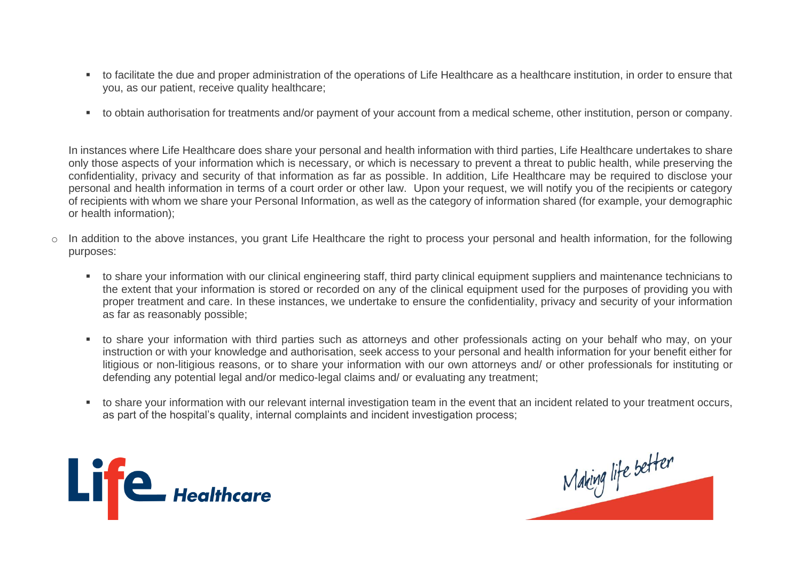- to facilitate the due and proper administration of the operations of Life Healthcare as a healthcare institution, in order to ensure that you, as our patient, receive quality healthcare;
- to obtain authorisation for treatments and/or payment of your account from a medical scheme, other institution, person or company.

In instances where Life Healthcare does share your personal and health information with third parties, Life Healthcare undertakes to share only those aspects of your information which is necessary, or which is necessary to prevent a threat to public health, while preserving the confidentiality, privacy and security of that information as far as possible. In addition, Life Healthcare may be required to disclose your personal and health information in terms of a court order or other law. Upon your request, we will notify you of the recipients or category of recipients with whom we share your Personal Information, as well as the category of information shared (for example, your demographic or health information);

- o In addition to the above instances, you grant Life Healthcare the right to process your personal and health information, for the following purposes:
	- to share your information with our clinical engineering staff, third party clinical equipment suppliers and maintenance technicians to the extent that your information is stored or recorded on any of the clinical equipment used for the purposes of providing you with proper treatment and care. In these instances, we undertake to ensure the confidentiality, privacy and security of your information as far as reasonably possible;
	- to share your information with third parties such as attorneys and other professionals acting on your behalf who may, on your instruction or with your knowledge and authorisation, seek access to your personal and health information for your benefit either for litigious or non-litigious reasons, or to share your information with our own attorneys and/ or other professionals for instituting or defending any potential legal and/or medico-legal claims and/ or evaluating any treatment;
	- to share your information with our relevant internal investigation team in the event that an incident related to your treatment occurs, as part of the hospital's quality, internal complaints and incident investigation process;



Making life better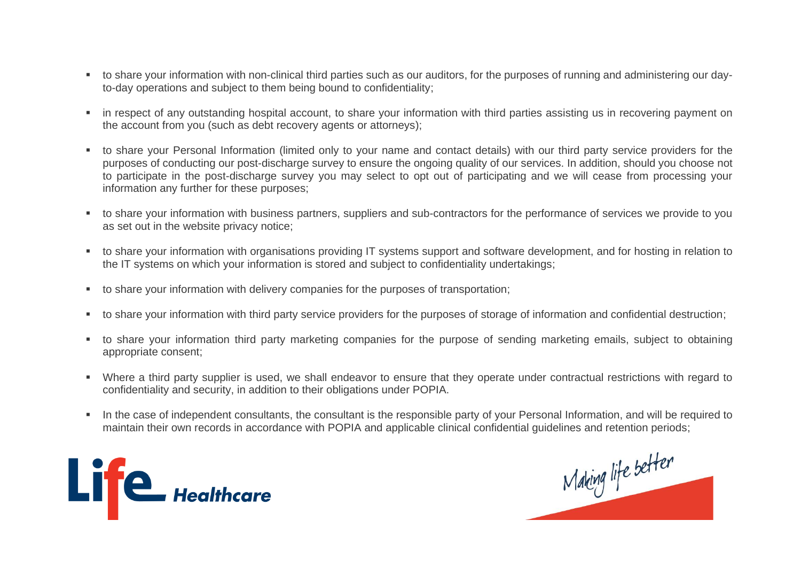- to share your information with non-clinical third parties such as our auditors, for the purposes of running and administering our dayto-day operations and subject to them being bound to confidentiality;
- in respect of any outstanding hospital account, to share your information with third parties assisting us in recovering payment on the account from you (such as debt recovery agents or attorneys);
- to share your Personal Information (limited only to your name and contact details) with our third party service providers for the purposes of conducting our post-discharge survey to ensure the ongoing quality of our services. In addition, should you choose not to participate in the post-discharge survey you may select to opt out of participating and we will cease from processing your information any further for these purposes;
- to share your information with business partners, suppliers and sub-contractors for the performance of services we provide to you as set out in the website privacy notice;
- to share your information with organisations providing IT systems support and software development, and for hosting in relation to the IT systems on which your information is stored and subject to confidentiality undertakings;
- to share your information with delivery companies for the purposes of transportation;
- to share your information with third party service providers for the purposes of storage of information and confidential destruction;
- to share your information third party marketing companies for the purpose of sending marketing emails, subject to obtaining appropriate consent;
- Where a third party supplier is used, we shall endeavor to ensure that they operate under contractual restrictions with regard to confidentiality and security, in addition to their obligations under POPIA.
- In the case of independent consultants, the consultant is the responsible party of your Personal Information, and will be required to maintain their own records in accordance with POPIA and applicable clinical confidential guidelines and retention periods;



Making life better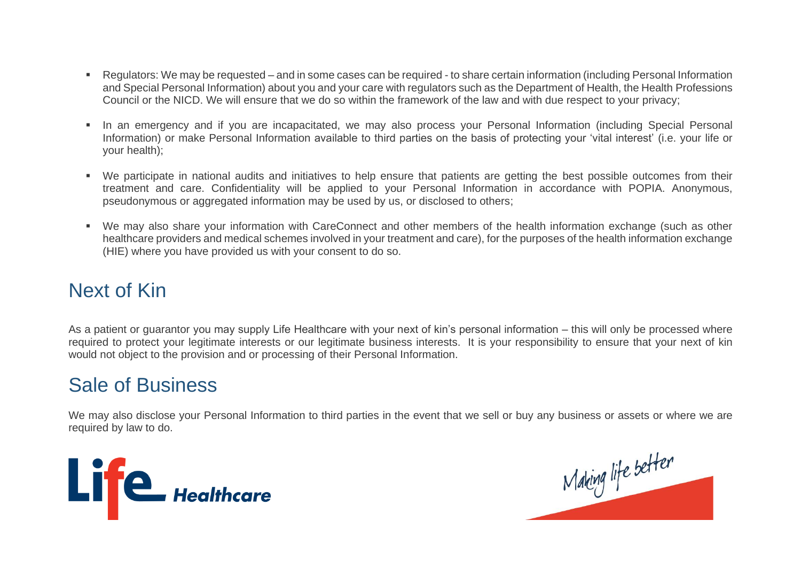- Regulators: We may be requested and in some cases can be required to share certain information (including Personal Information and Special Personal Information) about you and your care with regulators such as the Department of Health, the Health Professions Council or the NICD. We will ensure that we do so within the framework of the law and with due respect to your privacy;
- In an emergency and if you are incapacitated, we may also process your Personal Information (including Special Personal Information) or make Personal Information available to third parties on the basis of protecting your 'vital interest' (i.e. your life or your health);
- We participate in national audits and initiatives to help ensure that patients are getting the best possible outcomes from their treatment and care. Confidentiality will be applied to your Personal Information in accordance with POPIA. Anonymous, pseudonymous or aggregated information may be used by us, or disclosed to others;
- We may also share your information with CareConnect and other members of the health information exchange (such as other healthcare providers and medical schemes involved in your treatment and care), for the purposes of the health information exchange (HIE) where you have provided us with your consent to do so.

# Next of Kin

As a patient or guarantor you may supply Life Healthcare with your next of kin's personal information – this will only be processed where required to protect your legitimate interests or our legitimate business interests. It is your responsibility to ensure that your next of kin would not object to the provision and or processing of their Personal Information.

#### Sale of Business

We may also disclose your Personal Information to third parties in the event that we sell or buy any business or assets or where we are required by law to do.



Making life better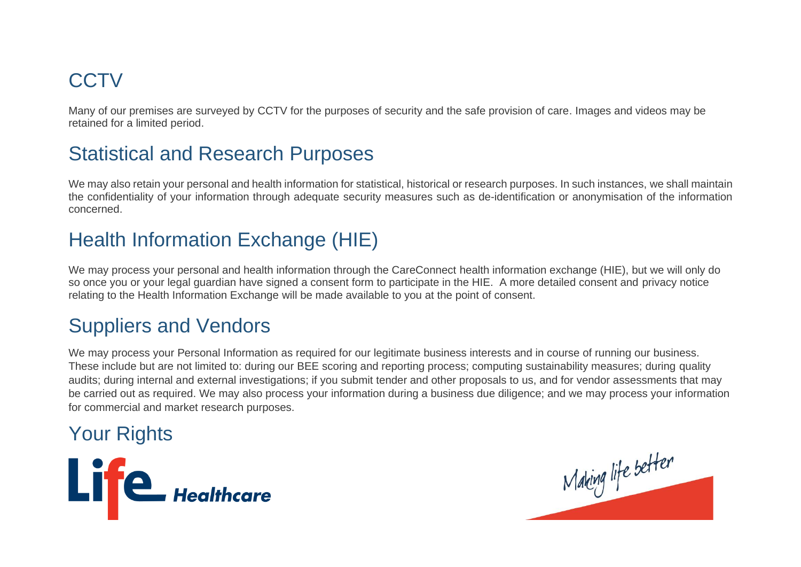# **CCTV**

Many of our premises are surveyed by CCTV for the purposes of security and the safe provision of care. Images and videos may be retained for a limited period.

# Statistical and Research Purposes

We may also retain your personal and health information for statistical, historical or research purposes. In such instances, we shall maintain the confidentiality of your information through adequate security measures such as de-identification or anonymisation of the information concerned.

# Health Information Exchange (HIE)

We may process your personal and health information through the CareConnect health information exchange (HIE), but we will only do so once you or your legal guardian have signed a consent form to participate in the HIE. A more detailed consent and privacy notice relating to the Health Information Exchange will be made available to you at the point of consent.

# Suppliers and Vendors

We may process your Personal Information as required for our legitimate business interests and in course of running our business. These include but are not limited to: during our BEE scoring and reporting process; computing sustainability measures; during quality audits; during internal and external investigations; if you submit tender and other proposals to us, and for vendor assessments that may be carried out as required. We may also process your information during a business due diligence; and we may process your information for commercial and market research purposes.

# Your Rights



Making life better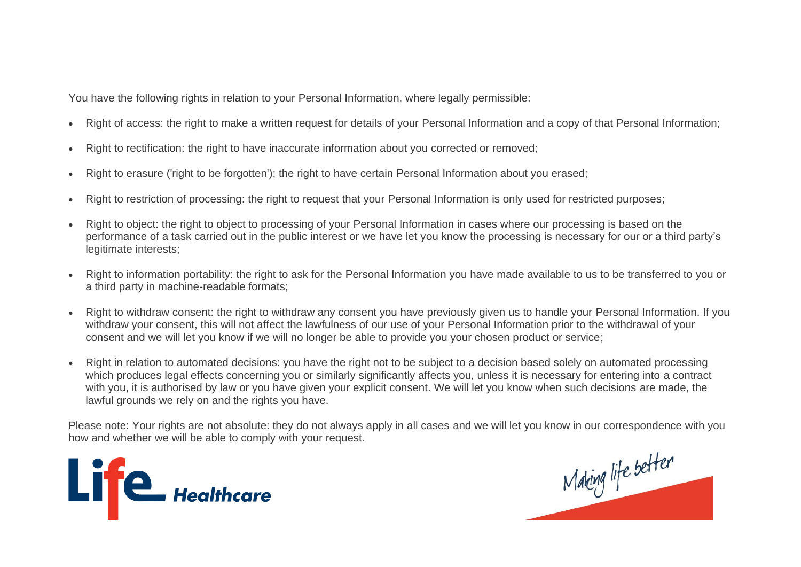You have the following rights in relation to your Personal Information, where legally permissible:

- Right of access: the right to make a written request for details of your Personal Information and a copy of that Personal Information;
- Right to rectification: the right to have inaccurate information about you corrected or removed;
- Right to erasure ('right to be forgotten'): the right to have certain Personal Information about you erased;
- Right to restriction of processing: the right to request that your Personal Information is only used for restricted purposes;
- Right to object: the right to object to processing of your Personal Information in cases where our processing is based on the performance of a task carried out in the public interest or we have let you know the processing is necessary for our or a third party's legitimate interests:
- Right to information portability: the right to ask for the Personal Information you have made available to us to be transferred to you or a third party in machine-readable formats;
- Right to withdraw consent: the right to withdraw any consent you have previously given us to handle your Personal Information. If you withdraw your consent, this will not affect the lawfulness of our use of your Personal Information prior to the withdrawal of your consent and we will let you know if we will no longer be able to provide you your chosen product or service;
- Right in relation to automated decisions: you have the right not to be subject to a decision based solely on automated processing which produces legal effects concerning you or similarly significantly affects you, unless it is necessary for entering into a contract with you, it is authorised by law or you have given your explicit consent. We will let you know when such decisions are made, the lawful grounds we rely on and the rights you have.

Please note: Your rights are not absolute: they do not always apply in all cases and we will let you know in our correspondence with you how and whether we will be able to comply with your request.



Making life better